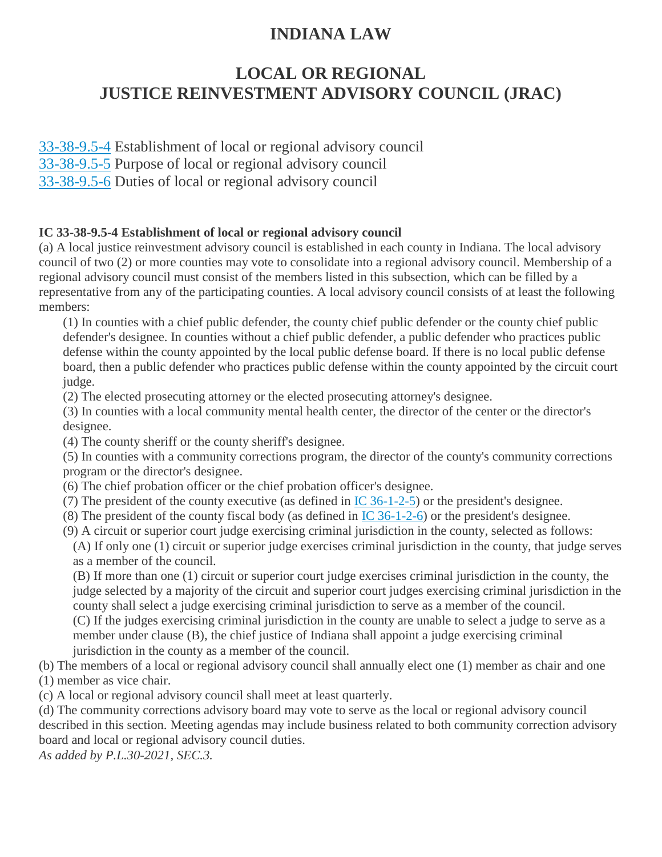## **INDIANA LAW**

# **LOCAL OR REGIONAL JUSTICE REINVESTMENT ADVISORY COUNCIL (JRAC)**

[33-38-9.5-4](http://iga.in.gov/legislative/laws/2021/ic/titles/033/#33-38-9.5-4) Establishment of local or regional advisory council

[33-38-9.5-5](http://iga.in.gov/legislative/laws/2021/ic/titles/033/#33-38-9.5-5) Purpose of local or regional advisory council

[33-38-9.5-6](http://iga.in.gov/legislative/laws/2021/ic/titles/033/#33-38-9.5-6) Duties of local or regional advisory council

## **IC 33-38-9.5-4 Establishment of local or regional advisory council**

(a) A local justice reinvestment advisory council is established in each county in Indiana. The local advisory council of two (2) or more counties may vote to consolidate into a regional advisory council. Membership of a regional advisory council must consist of the members listed in this subsection, which can be filled by a representative from any of the participating counties. A local advisory council consists of at least the following members:

(1) In counties with a chief public defender, the county chief public defender or the county chief public defender's designee. In counties without a chief public defender, a public defender who practices public defense within the county appointed by the local public defense board. If there is no local public defense board, then a public defender who practices public defense within the county appointed by the circuit court judge.

(2) The elected prosecuting attorney or the elected prosecuting attorney's designee.

(3) In counties with a local community mental health center, the director of the center or the director's designee.

(4) The county sheriff or the county sheriff's designee.

(5) In counties with a community corrections program, the director of the county's community corrections program or the director's designee.

- (6) The chief probation officer or the chief probation officer's designee.
- (7) The president of the county executive (as defined in [IC 36-1-2-5\)](http://iga.in.gov/legislative/laws/2021/ic/titles/033/#36-1-2-5) or the president's designee.
- (8) The president of the county fiscal body (as defined in [IC 36-1-2-6\)](http://iga.in.gov/legislative/laws/2021/ic/titles/033/#36-1-2-6) or the president's designee.
- (9) A circuit or superior court judge exercising criminal jurisdiction in the county, selected as follows:

(A) If only one (1) circuit or superior judge exercises criminal jurisdiction in the county, that judge serves as a member of the council.

(B) If more than one (1) circuit or superior court judge exercises criminal jurisdiction in the county, the judge selected by a majority of the circuit and superior court judges exercising criminal jurisdiction in the county shall select a judge exercising criminal jurisdiction to serve as a member of the council. (C) If the judges exercising criminal jurisdiction in the county are unable to select a judge to serve as a member under clause (B), the chief justice of Indiana shall appoint a judge exercising criminal

jurisdiction in the county as a member of the council.

(b) The members of a local or regional advisory council shall annually elect one (1) member as chair and one (1) member as vice chair.

(c) A local or regional advisory council shall meet at least quarterly.

(d) The community corrections advisory board may vote to serve as the local or regional advisory council described in this section. Meeting agendas may include business related to both community correction advisory board and local or regional advisory council duties.

*As added by P.L.30-2021, SEC.3.*